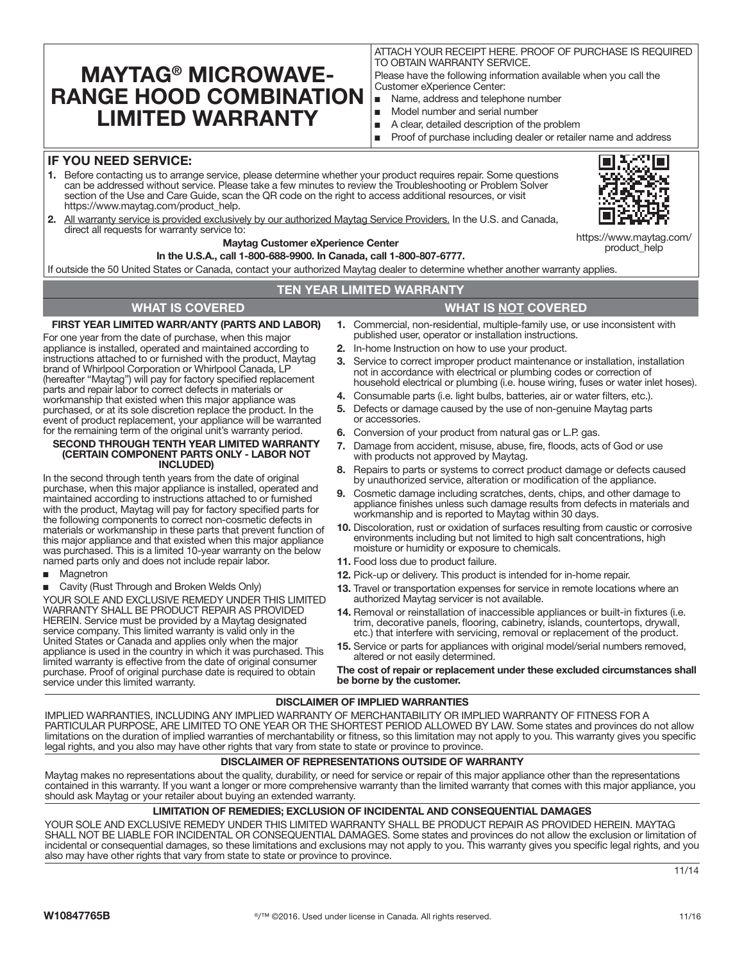# **MAYTAG® MICROWAVE-RANGE HOOD COMBINATION LIMITED WARRANTY**

ATTACH YOUR RECEIPT HERE. PROOF OF PURCHASE IS REQUIRED TO OBTAIN WARRANTY SERVICE.

Please have the following information available when you call the Customer eXperience Center:

- Name, address and telephone number
- Model number and serial number
- A clear, detailed description of the problem

Proof of purchase including dealer or retailer name and address

### **IF YOU NEED SERVICE:**

- **1.** Before contacting us to arrange service, please determine whether your product requires repair. Some questions can be addressed without service. Please take a few minutes to review the Troubleshooting or Problem Solver section of the Use and Care Guide, scan the QR code on the right to access additional resources, or visit https://www.maytag.com/product\_help.
- $\Box$

https://www.maytag.com/ product\_help

**2.** All warranty service is provided exclusively by our authorized Maytag Service Providers. In the U.S. and Canada, direct all requests for warranty service to:

#### **Maytag Customer eXperience Center**

**In the U.S.A., call 1-800-688-9900. In Canada, call 1-800-807-6777.**

If outside the 50 United States or Canada, contact your authorized Maytag dealer to determine whether another warranty applies.

### **TEN YEAR LIMITED WARRANTY**

#### **FIRST YEAR LIMITED WARR/ANTY (PARTS AND LABOR)**

For one year from the date of purchase, when this major appliance is installed, operated and maintained according to instructions attached to or furnished with the product, Maytag brand of Whirlpool Corporation or Whirlpool Canada, LP (hereafter "Maytag") will pay for factory specified replacement parts and repair labor to correct defects in materials or workmanship that existed when this major appliance was purchased, or at its sole discretion replace the product. In the event of product replacement, your appliance will be warranted for the remaining term of the original unit's warranty period.

#### **SECOND THROUGH TENTH YEAR LIMITED WARRANTY (CERTAIN COMPONENT PARTS ONLY - LABOR NOT INCLUDED)**

In the second through tenth years from the date of original purchase, when this major appliance is installed, operated and maintained according to instructions attached to or furnished with the product, Maytag will pay for factory specified parts for the following components to correct non-cosmetic defects in materials or workmanship in these parts that prevent function of this major appliance and that existed when this major appliance was purchased. This is a limited 10-year warranty on the below named parts only and does not include repair labor.

- **Magnetron**
- Cavity (Rust Through and Broken Welds Only)

YOUR SOLE AND EXCLUSIVE REMEDY UNDER THIS LIMITED WARRANTY SHALL BE PRODUCT REPAIR AS PROVIDED HEREIN. Service must be provided by a Maytag designated service company. This limited warranty is valid only in the United States or Canada and applies only when the major appliance is used in the country in which it was purchased. This limited warranty is effective from the date of original consumer purchase. Proof of original purchase date is required to obtain service under this limited warranty.

# **WHAT IS COVERED WHAT IS NOT COVERED**

- **1.** Commercial, non-residential, multiple-family use, or use inconsistent with published user, operator or installation instructions.
- **2.** In-home Instruction on how to use your product.
- **3.** Service to correct improper product maintenance or installation, installation not in accordance with electrical or plumbing codes or correction of household electrical or plumbing (i.e. house wiring, fuses or water inlet hoses).
- **4.** Consumable parts (i.e. light bulbs, batteries, air or water filters, etc.).
- **5.** Defects or damage caused by the use of non-genuine Maytag parts or accessories.
- **6.** Conversion of your product from natural gas or L.P. gas.
- **7.** Damage from accident, misuse, abuse, fire, floods, acts of God or use with products not approved by Maytag.
- **8.** Repairs to parts or systems to correct product damage or defects caused by unauthorized service, alteration or modification of the appliance.
- **9.** Cosmetic damage including scratches, dents, chips, and other damage to appliance finishes unless such damage results from defects in materials and workmanship and is reported to Maytag within 30 days.
- **10.** Discoloration, rust or oxidation of surfaces resulting from caustic or corrosive environments including but not limited to high salt concentrations, high moisture or humidity or exposure to chemicals.
- **11.** Food loss due to product failure.
- **12.** Pick-up or delivery. This product is intended for in-home repair.
- **13.** Travel or transportation expenses for service in remote locations where an authorized Maytag servicer is not available.
- **14.** Removal or reinstallation of inaccessible appliances or built-in fixtures (i.e. trim, decorative panels, flooring, cabinetry, islands, countertops, drywall, etc.) that interfere with servicing, removal or replacement of the product.
- **15.** Service or parts for appliances with original model/serial numbers removed, altered or not easily determined.

**The cost of repair or replacement under these excluded circumstances shall be borne by the customer.** 

### **DISCLAIMER OF IMPLIED WARRANTIES**

IMPLIED WARRANTIES, INCLUDING ANY IMPLIED WARRANTY OF MERCHANTABILITY OR IMPLIED WARRANTY OF FITNESS FOR A PARTICULAR PURPOSE, ARE LIMITED TO ONE YEAR OR THE SHORTEST PERIOD ALLOWED BY LAW. Some states and provinces do not allow limitations on the duration of implied warranties of merchantability or fitness, so this limitation may not apply to you. This warranty gives you specific legal rights, and you also may have other rights that vary from state to state or province to province.

#### **DISCLAIMER OF REPRESENTATIONS OUTSIDE OF WARRANTY**

Maytag makes no representations about the quality, durability, or need for service or repair of this major appliance other than the representations contained in this warranty. If you want a longer or more comprehensive warranty than the limited warranty that comes with this major appliance, you should ask Maytag or your retailer about buying an extended warranty.

### **LIMITATION OF REMEDIES; EXCLUSION OF INCIDENTAL AND CONSEQUENTIAL DAMAGES**

YOUR SOLE AND EXCLUSIVE REMEDY UNDER THIS LIMITED WARRANTY SHALL BE PRODUCT REPAIR AS PROVIDED HEREIN. MAYTAG SHALL NOT BE LIABLE FOR INCIDENTAL OR CONSEQUENTIAL DAMAGES. Some states and provinces do not allow the exclusion or limitation of incidental or consequential damages, so these limitations and exclusions may not apply to you. This warranty gives you specific legal rights, and you also may have other rights that vary from state to state or province to province.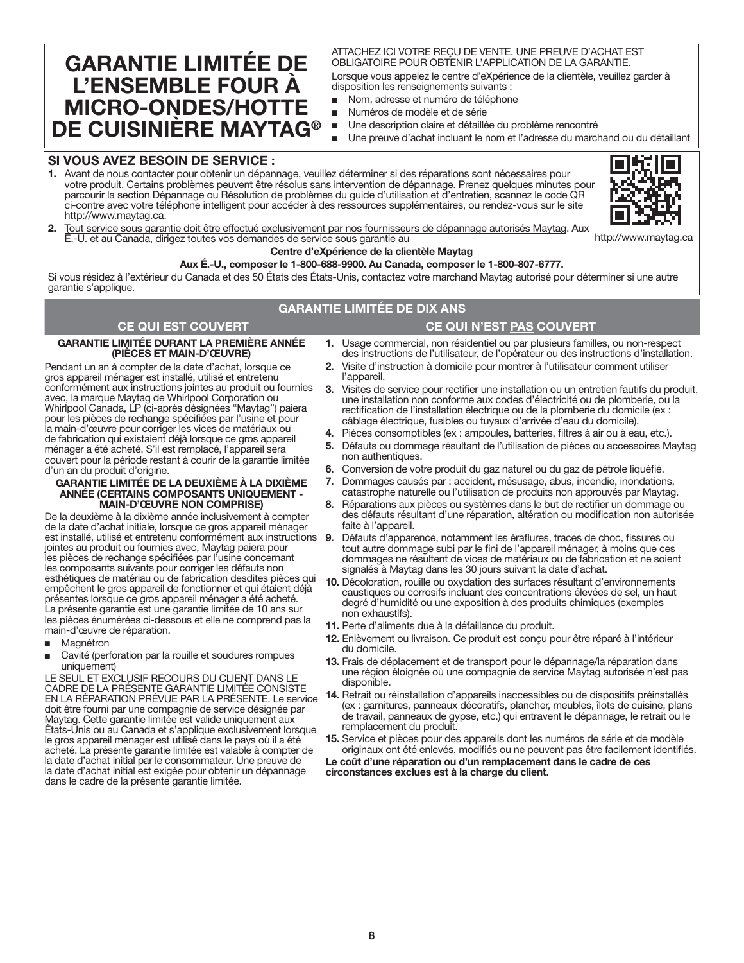# **GARANTIE LIMITÉE DE L'ENSEMBLE FOUR À MICRO-ONDES/HOTTE DE CUISINIÈRE MAYTAG®**

### ATTACHEZ ICI VOTRE REÇU DE VENTE. UNE PREUVE D'ACHAT EST OBLIGATOIRE POUR OBTENIR L'APPLICATION DE LA GARANTIE.

Lorsque vous appelez le centre d'eXpérience de la clientèle, veuillez garder à disposition les renseignements suivants :

- Nom, adresse et numéro de téléphone
- Numéros de modèle et de série
- Une description claire et détaillée du problème rencontré
- Une preuve d'achat incluant le nom et l'adresse du marchand ou du détaillant

## **SI VOUS AVEZ BESOIN DE SERVICE :**

**1.** Avant de nous contacter pour obtenir un dépannage, veuillez déterminer si des réparations sont nécessaires pour votre produit. Certains problèmes peuvent être résolus sans intervention de dépannage. Prenez quelques minutes pour parcourir la section Dépannage ou Résolution de problèmes du guide d'utilisation et d'entretien, scannez le code QR ci-contre avec votre téléphone intelligent pour accéder à des ressources supplémentaires, ou rendez-vous sur le site http://www.maytag.ca.



**2.** Tout service sous garantie doit être effectué exclusivement par nos fournisseurs de dépannage autorisés Maytag. Aux É.-U. et au Canada, dirigez toutes vos demandes de service sous garantie au

#### **Centre d'eXpérience de la clientèle Maytag**

**Aux É.-U., composer le 1-800-688-9900. Au Canada, composer le 1-800-807-6777.**

Si vous résidez à l'extérieur du Canada et des 50 États des États-Unis, contactez votre marchand Maytag autorisé pour déterminer si une autre garantie s'applique.

# **GARANTIE LIMITÉE DE DIX ANS**

# **CE QUI EST COUVERT CE QUI N'EST PAS COUVERT**

#### **GARANTIE LIMITÉE DURANT LA PREMIÈRE ANNÉE (PIÈCES ET MAIN-D'ŒUVRE)**

Pendant un an à compter de la date d'achat, lorsque ce gros appareil ménager est installé, utilisé et entretenu conformément aux instructions jointes au produit ou fournies avec, la marque Maytag de Whirlpool Corporation ou Whirlpool Canada, LP (ci-après désignées "Maytag") paiera pour les pièces de rechange spécifiées par l'usine et pour la main-d'œuvre pour corriger les vices de matériaux ou de fabrication qui existaient déjà lorsque ce gros appareil ménager a été acheté. S'il est remplacé, l'appareil sera couvert pour la période restant à courir de la garantie limitée d'un an du produit d'origine.

#### **GARANTIE LIMITÉE DE LA DEUXIÈME À LA DIXIÈME ANNÉE (CERTAINS COMPOSANTS UNIQUEMENT - MAIN-D'ŒUVRE NON COMPRISE)**

De la deuxième à la dixième année inclusivement à compter de la date d'achat initiale, lorsque ce gros appareil ménager jointes au produit ou fournies avec, Maytag paiera pour les pièces de rechange spécifiées par l'usine concernant les composants suivants pour corriger les défauts non esthétiques de matériau ou de fabrication desdites pièces qui empêchent le gros appareil de fonctionner et qui étaient déjà présentes lorsque ce gros appareil ménager a été acheté. La présente garantie est une garantie limitée de 10 ans sur les pièces énumérées ci-dessous et elle ne comprend pas la main-d'œuvre de réparation.

- Magnétron
- Cavité (perforation par la rouille et soudures rompues uniquement)

LE SEUL ET EXCLUSIF RECOURS DU CLIENT DANS LE CADRE DE LA PRÉSENTE GARANTIE LIMITÉE CONSISTE EN LA RÉPARATION PRÉVUE PAR LA PRÉSENTE. Le service doit être fourni par une compagnie de service désignée par Maytag. Cette garantie limitée est valide uniquement aux États-Unis ou au Canada et s'applique exclusivement lorsque le gros appareil ménager est utilisé dans le pays où il a été acheté. La présente garantie limitée est valable à compter de la date d'achat initial par le consommateur. Une preuve de la date d'achat initial est exigée pour obtenir un dépannage dans le cadre de la présente garantie limitée.

- **1.** Usage commercial, non résidentiel ou par plusieurs familles, ou non-respect des instructions de l'utilisateur, de l'opérateur ou des instructions d'installation.
- **2.** Visite d'instruction à domicile pour montrer à l'utilisateur comment utiliser l'appareil.
- **3.** Visites de service pour rectifier une installation ou un entretien fautifs du produit, une installation non conforme aux codes d'électricité ou de plomberie, ou la rectification de l'installation électrique ou de la plomberie du domicile (ex : câblage électrique, fusibles ou tuyaux d'arrivée d'eau du domicile).
- **4.** Pièces consomptibles (ex : ampoules, batteries, filtres à air ou à eau, etc.).
- **5.** Défauts ou dommage résultant de l'utilisation de pièces ou accessoires Maytag non authentiques.
- **6.** Conversion de votre produit du gaz naturel ou du gaz de pétrole liquéfié.
- **7.** Dommages causés par : accident, mésusage, abus, incendie, inondations, catastrophe naturelle ou l'utilisation de produits non approuvés par Maytag.
- **8.** Réparations aux pièces ou systèmes dans le but de rectifier un dommage ou des défauts résultant d'une réparation, altération ou modification non autorisée faite à l'appareil.
- est installé, utilisé et entretenu conformément aux instructions **9.** Défauts d'apparence, notamment les éraflures, traces de choc, fissures ou tout autre dommage subi par le fini de l'appareil ménager, à moins que ces dommages ne résultent de vices de matériaux ou de fabrication et ne soient signalés à Maytag dans les 30 jours suivant la date d'achat.
	- **10.** Décoloration, rouille ou oxydation des surfaces résultant d'environnements caustiques ou corrosifs incluant des concentrations élevées de sel, un haut degré d'humidité ou une exposition à des produits chimiques (exemples non exhaustifs).
	- **11.** Perte d'aliments due à la défaillance du produit.
	- **12.** Enlèvement ou livraison. Ce produit est conçu pour être réparé à l'intérieur du domicile.
	- **13.** Frais de déplacement et de transport pour le dépannage/la réparation dans une région éloignée où une compagnie de service Maytag autorisée n'est pas disponible.
	- **14.** Retrait ou réinstallation d'appareils inaccessibles ou de dispositifs préinstallés (ex : garnitures, panneaux décoratifs, plancher, meubles, îlots de cuisine, plans de travail, panneaux de gypse, etc.) qui entravent le dépannage, le retrait ou le remplacement du produit.
	- **15.** Service et pièces pour des appareils dont les numéros de série et de modèle originaux ont été enlevés, modifiés ou ne peuvent pas être facilement identifiés.

**Le coût d'une réparation ou d'un remplacement dans le cadre de ces circonstances exclues est à la charge du client.**